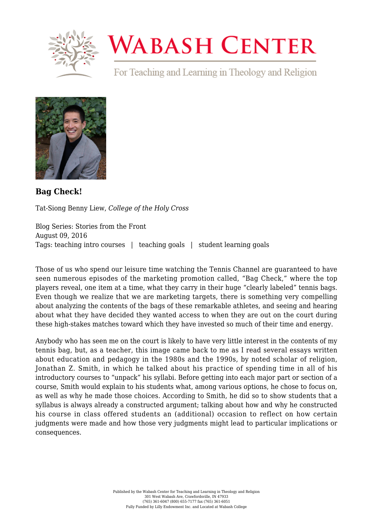

## **WABASH CENTER**

For Teaching and Learning in Theology and Religion



**[Bag Check!](https://www.wabashcenter.wabash.edu/2016/08/bag-check/)**

Tat-Siong Benny Liew, *College of the Holy Cross*

Blog Series: Stories from the Front August 09, 2016 Tags: teaching intro courses | teaching goals | student learning goals

Those of us who spend our leisure time watching the Tennis Channel are guaranteed to have seen numerous episodes of the marketing promotion called, "Bag Check," where the top players reveal, one item at a time, what they carry in their huge "clearly labeled" tennis bags. Even though we realize that we are marketing targets, there is something very compelling about analyzing the contents of the bags of these remarkable athletes, and seeing and hearing about what they have decided they wanted access to when they are out on the court during these high-stakes matches toward which they have invested so much of their time and energy.

Anybody who has seen me on the court is likely to have very little interest in the contents of my tennis bag, but, as a teacher, this image came back to me as I read several essays written about education and pedagogy in the 1980s and the 1990s, by noted scholar of religion, Jonathan Z. Smith, in which he talked about his practice of spending time in all of his introductory courses to "unpack" his syllabi. Before getting into each major part or section of a course, Smith would explain to his students what, among various options, he chose to focus on, as well as why he made those choices. According to Smith, he did so to show students that a syllabus is always already a constructed argument; talking about how and why he constructed his course in class offered students an (additional) occasion to reflect on how certain judgments were made and how those very judgments might lead to particular implications or consequences.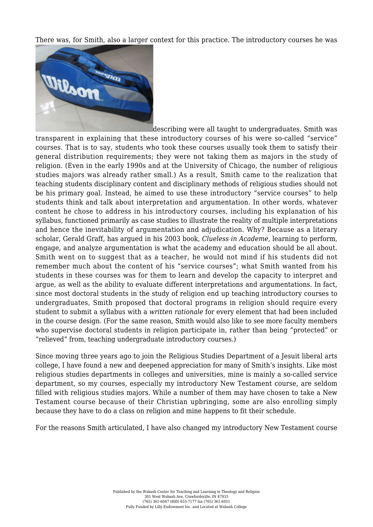There was, for Smith, also a larger context for this practice. The introductory courses he was



describing were all taught to undergraduates. Smith was transparent in explaining that these introductory courses of his were so-called "service" courses. That is to say, students who took these courses usually took them to satisfy their general distribution requirements; they were not taking them as majors in the study of religion. (Even in the early 1990s and at the University of Chicago, the number of religious studies majors was already rather small.) As a result, Smith came to the realization that teaching students disciplinary content and disciplinary methods of religious studies should not be his primary goal. Instead, he aimed to use these introductory "service courses" to help students think and talk about interpretation and argumentation. In other words, whatever content he chose to address in his introductory courses, including his explanation of his syllabus, functioned primarily as case studies to illustrate the reality of multiple interpretations and hence the inevitability of argumentation and adjudication. Why? Because as a literary scholar, Gerald Graff, has argued in his 2003 book, *Clueless in Academe*, learning to perform, engage, and analyze argumentation is what the academy and education should be all about. Smith went on to suggest that as a teacher, he would not mind if his students did not remember much about the content of his "service courses"; what Smith wanted from his students in these courses was for them to learn and develop the capacity to interpret and argue, as well as the ability to evaluate different interpretations and argumentations. In fact, since most doctoral students in the study of religion end up teaching introductory courses to undergraduates, Smith proposed that doctoral programs in religion should require every student to submit a syllabus with a *written rationale* for every element that had been included in the course design. (For the same reason, Smith would also like to see more faculty members who supervise doctoral students in religion participate in, rather than being "protected" or "relieved" from, teaching undergraduate introductory courses.)

Since moving three years ago to join the Religious Studies Department of a Jesuit liberal arts college, I have found a new and deepened appreciation for many of Smith's insights. Like most religious studies departments in colleges and universities, mine is mainly a so-called service department, so my courses, especially my introductory New Testament course, are seldom filled with religious studies majors. While a number of them may have chosen to take a New Testament course because of their Christian upbringing, some are also enrolling simply because they have to do a class on religion and mine happens to fit their schedule.

For the reasons Smith articulated, I have also changed my introductory New Testament course